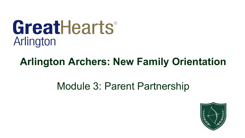# GreatHearts® Arlington

# **Arlington Archers: New Family Orientation**

# Module 3: Parent Partnership

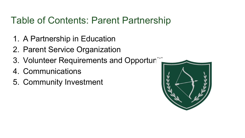### Table of Contents: Parent Partnership

- 1. A Partnership in Education
- 2. Parent Service Organization
- 3. Volunteer Requirements and Opportuni
- 4. Communications
- 5. Community Investment

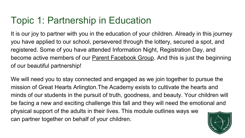It is our joy to partner with you in the education of your children. Already in this journey you have applied to our school, persevered through the lottery, secured a spot, and registered. Some of you have attended Information Night, Registration Day, and become active members of our [Parent Facebook Group](https://www.facebook.com/groups/greatheartsarlingtonparents/). And this is just the beginning of our beautiful partnership!

We will need you to stay connected and engaged as we join together to pursue the mission of Great Hearts Arlington.The Academy exists to cultivate the hearts and minds of our students in the pursuit of truth, goodness, and beauty. Your children will be facing a new and exciting challenge this fall and they will need the emotional and physical support of the adults in their lives. This module outlines ways we can partner together on behalf of your children.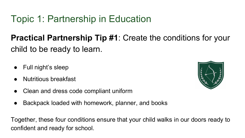**Practical Partnership Tip #1**: Create the conditions for your child to be ready to learn.

- Full night's sleep
- **Nutritious breakfast**
- Clean and dress code compliant uniform
- Backpack loaded with homework, planner, and books

Together, these four conditions ensure that your child walks in our doors ready to confident and ready for school.

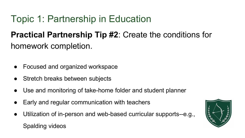### **Practical Partnership Tip #2**: Create the conditions for homework completion.

- Focused and organized workspace
- Stretch breaks between subjects
- Use and monitoring of take-home folder and student planner
- Early and regular communication with teachers
- Utilization of in-person and web-based curricular supports--e.g., Spalding videos

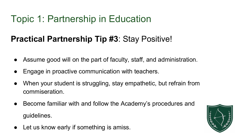#### **Practical Partnership Tip #3**: Stay Positive!

- Assume good will on the part of faculty, staff, and administration.
- Engage in proactive communication with teachers.
- When your student is struggling, stay empathetic, but refrain from commiseration.
- Become familiar with and follow the Academy's procedures and guidelines.
- Let us know early if something is amiss.

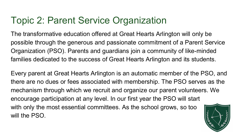The transformative education offered at Great Hearts Arlington will only be possible through the generous and passionate commitment of a Parent Service Organization (PSO). Parents and guardians join a community of like-minded families dedicated to the success of Great Hearts Arlington and its students.

Every parent at Great Hearts Arlington is an automatic member of the PSO, and there are no dues or fees associated with membership. The PSO serves as the mechanism through which we recruit and organize our parent volunteers. We encourage participation at any level. In our first year the PSO will start with only the most essential committees. As the school grows, so too will the PSO.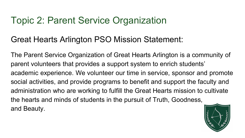#### Great Hearts Arlington PSO Mission Statement:

The Parent Service Organization of Great Hearts Arlington is a community of parent volunteers that provides a support system to enrich students' academic experience. We volunteer our time in service, sponsor and promote social activities, and provide programs to benefit and support the faculty and administration who are working to fulfill the Great Hearts mission to cultivate the hearts and minds of students in the pursuit of Truth, Goodness, and Beauty.

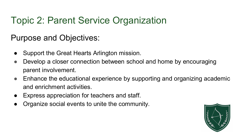Purpose and Objectives:

- Support the Great Hearts Arlington mission.
- Develop a closer connection between school and home by encouraging parent involvement.
- Enhance the educational experience by supporting and organizing academic and enrichment activities.
- Express appreciation for teachers and staff.
- Organize social events to unite the community.

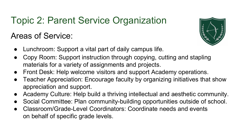#### Areas of Service:



- Lunchroom: Support a vital part of daily campus life.
- Copy Room: Support instruction through copying, cutting and stapling materials for a variety of assignments and projects.
- Front Desk: Help welcome visitors and support Academy operations.
- Teacher Appreciation: Encourage faculty by organizing initiatives that show appreciation and support.
- Academy Culture: Help build a thriving intellectual and aesthetic community.
- Social Committee: Plan community-building opportunities outside of school.
- Classroom/Grade-Level Coordinators: Coordinate needs and events on behalf of specific grade levels.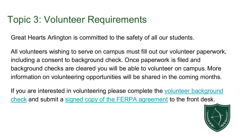### Topic 3: Volunteer Requirements

Great Hearts Arlington is committed to the safety of all our students.

All volunteers wishing to serve on campus must fill out our volunteer paperwork, including a consent to background check. Once paperwork is filed and background checks are cleared you will be able to volunteer on campus. More information on volunteering opportunities will be shared in the coming months.

If you are interested in volunteering please complete the volunteer background check and submit a [signed copy of the FERPA agreement](https://arlington.greatheartsamerica.org/gha-ferpa-acknowledgement/) to the front desk.

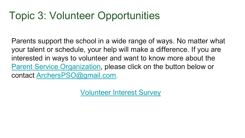# Topic 3: Volunteer Opportunities

Parents support the school in a wide range of ways. No matter what your talent or schedule, your help will make a difference. If you are interested in ways to volunteer and want to know more about the [Parent Service Organization](https://arlington.greatheartsamerica.org/academy-life/pso/), please click on the button below or contact [ArchersPSO@gmail.com](mailto:ArchersPSO@gmail.com).

Volunteer [Interest Survey](https://docs.google.com/forms/d/e/1FAIpQLSekCzlkFZ2Z9Nj_jMO4_eXBwP08nJvtyDT1Gr3Rdo1xobkohA/viewform)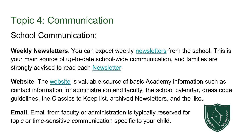#### School Communication:

**Weekly Newsletters**. You can expect weekly [newsletters](https://arlington.greatheartsamerica.org/events/communications/) from the school. This is your main source of up-to-date school-wide communication, and families are strongly advised to read each [Newsletter.](https://arlington.greatheartsamerica.org/events/communications/)

**Website**. The [website](http://www.greatheartsarlington.org/) is valuable source of basic Academy information such as contact information for administration and faculty, the school calendar, dress code guidelines, the Classics to Keep list, archived Newsletters, and the like.

**Email**. Email from faculty or administration is typically reserved for topic or time-sensitive communication specific to your child.

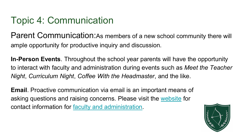Parent Communication: As members of a new school community there will ample opportunity for productive inquiry and discussion.

**In-Person Events**. Throughout the school year parents will have the opportunity to interact with faculty and administration during events such as *Meet the Teacher Night*, *Curriculum Night*, *Coffee With the Headmaster*, and the like.

**Email**. Proactive communication via email is an important means of asking questions and raising concerns. Please visit the [website](https://arlington.greatheartsamerica.org/) for contact information for [faculty and administration.](https://arlington.greatheartsamerica.org/home/contact-us/faculty-staff/)

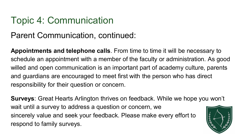#### Parent Communication, continued:

**Appointments and telephone calls**. From time to time it will be necessary to schedule an appointment with a member of the faculty or administration. As good willed and open communication is an important part of academy culture, parents and guardians are encouraged to meet first with the person who has direct responsibility for their question or concern.

**Surveys**: Great Hearts Arlington thrives on feedback. While we hope you won't wait until a survey to address a question or concern, we sincerely value and seek your feedback. Please make every effort to respond to family surveys.

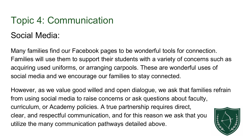#### Social Media:

Many families find our Facebook pages to be wonderful tools for connection. Families will use them to support their students with a variety of concerns such as acquiring used uniforms, or arranging carpools. These are wonderful uses of social media and we encourage our families to stay connected.

However, as we value good willed and open dialogue, we ask that families refrain from using social media to raise concerns or ask questions about faculty, curriculum, or Academy policies. A true partnership requires direct, clear, and respectful communication, and for this reason we ask that you utilize the many communication pathways detailed above.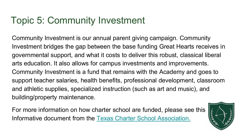# Topic 5: Community Investment

Community Investment is our annual parent giving campaign. Community Investment bridges the gap between the base funding Great Hearts receives in governmental support, and what it costs to deliver this robust, classical liberal arts education. It also allows for campus investments and improvements. Community Investment is a fund that remains with the Academy and goes to support teacher salaries, health benefits, professional development, classroom and athletic supplies, specialized instruction (such as art and music), and building/property maintenance.

For more information on how charter school are funded, please see this Informative document from the [Texas Charter School Association.](https://txcharterschools.org/wp-content/uploads/2020/05/TCSA_funding-infographic_2019_v16.pdf)

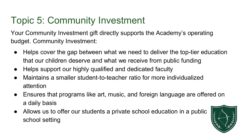# Topic 5: Community Investment

Your Community Investment gift directly supports the Academy's operating budget. Community Investment:

- Helps cover the gap between what we need to deliver the top-tier education that our children deserve and what we receive from public funding
- Helps support our highly qualified and dedicated faculty
- Maintains a smaller student-to-teacher ratio for more individualized attention
- Ensures that programs like art, music, and foreign language are offered on a daily basis
- Allows us to offer our students a private school education in a public school setting

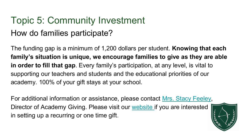# Topic 5: Community Investment How do families participate?

The funding gap is a minimum of 1,200 dollars per student. **Knowing that each family's situation is unique, we encourage families to give as they are able in order to fill that gap**. Every family's participation, at any level, is vital to supporting our teachers and students and the educational priorities of our academy. 100% of your gift stays at your school.

For additional information or assistance, please contact [Mrs. Stacy Feeley,](mailto:Stacy.Feeley@greatheartsarlington.org) Director of Academy Giving. Please visit our [website i](https://arlington.greatheartsamerica.org/give/)f you are interested in setting up a recurring or one time gift.